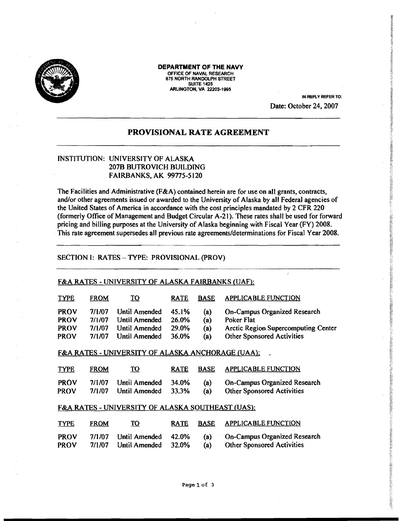

**DEPARTMENT OFTHE NAVY**  OFFICE OF NAVAl RESEARCH 875 NORTH RANDOLPH STREET **SUITE 1425** SUITE 1425<br>ARLINGTON, VA 22203-1995

IN REPLY REFER TO: Date: October 24, 2007

# **PROVISIONAL RATE AGREEMENT**

# INSTITUTION: UNIVERSITY OF ALASKA 207B BUTROVICH BUILDING FAIRBANKS, AK 99775-5120

The Facilities and Administrative (F&A) contained herein are for use on all grants, contracts, and/or other agreements issued or awarded to the University of Alaska by all Federal agencies of the United States of America in accordance with the cost principles mandated by 2 CFR 220 (formerly Office of Management and Budget Circular A-21). These rates shall be used for forward pricing and billing purposes at the University of Alaska beginning with Fiscal Year (FY) 2008. This rate agreement supersedes all previous rate agreements/determinations for Fiscal Year 2008.

### SECTION I: RATES - TYPE: PROVISIONAL (PROV)

#### F&A RATES - UNIVERSITY OF ALASKA FAIRBANKS (UAF):

| <b>TYPE</b> | <b>FROM</b> | <u>TO</u>     | <b>RATE</b>  | <b>BASE</b> | <b>APPLICABLE FUNCTION</b>                 |
|-------------|-------------|---------------|--------------|-------------|--------------------------------------------|
| <b>PROV</b> | 7/1/07      | Until Amended | 45.1%        | (a)         | On-Campus Organized Research               |
| <b>PROV</b> | 7/1/07      | Until Amended | <b>26.0%</b> | (a)         | Poker Flat                                 |
| <b>PROV</b> | 7/1/07      | Until Amended | 29.0%        | (a)         | <b>Arctic Region Supercomputing Center</b> |
| <b>PROV</b> | 7/1/07      | Until Amended | 36.0%        | (a)         | <b>Other Sponsored Activities</b>          |

#### F&A RATES - UNIVERSITY OF ALASKA ANCHORAGE (UAA):

| <b>TYPE</b> | <b>FROM</b> | <u> 10</u>          | <b>RATE</b> | <b>BASE</b> | <b>APPLICABLE FUNCTION</b>        |
|-------------|-------------|---------------------|-------------|-------------|-----------------------------------|
| <b>PROV</b> | 7/1/07      | Until Amended 34.0% |             | (a)         | On-Campus Organized Research      |
| <b>PROV</b> | 7/1/07      | Until Amended 33.3% |             | (a)         | <b>Other Sponsored Activities</b> |

## F&A RATES - UNIVERSITY OF ALASKA SOUTHEAST (UAS):

| <b>TYPE</b> | <b>FROM</b> | TO                  | <b>RATE</b> | <b>BASE</b> | <b>APPLICABLE FUNCTION</b>          |
|-------------|-------------|---------------------|-------------|-------------|-------------------------------------|
| <b>PROV</b> | 7/1/07      | Until Amended 42.0% |             | (a)         | <b>On-Campus Organized Research</b> |
| <b>PROV</b> | 7/1/07      | Until Amended 32.0% |             | (a)         | <b>Other Sponsored Activities</b>   |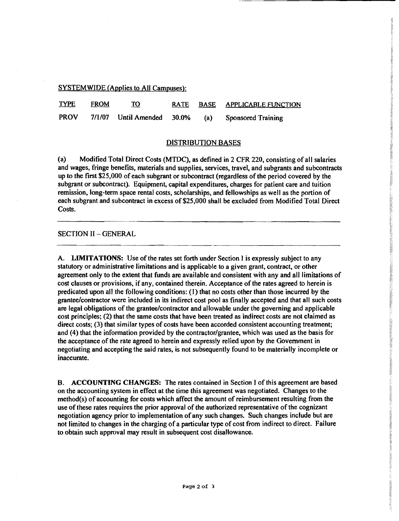SYSTEMWIDE (Applies to All Campuses):

TYPE FROM TO RATE BASE APPLICABLE FUNCTION PROV 7/1/07 Until Amended 30.0% (a) Sponsored Training

### piSTRIBUTION BASES

(a) Modified Total Direct Costs (MTDC), as defined in 2 CFR 220, consisting of all salaries and wages, fringe benefits, materials and supplies, services, travel, and subgrants and subcontracts up to the first \$25,000 of each subgrant or subcontract (regardless of the period covered by the subgrant or subcontract). Equipment, capital expenditures, charges for patient care and tuition remission, long-term space rental costs, scholarships, and fellowships as well as the portion of each subgrant and subcontract in excess of \$25,000 shall be excluded from Modified Total Direct Costs.

### SECTION II - GENERAL

A. LIMITATIONS: Use of the rates set forth under Section I is expressly subject to any statutory or administrative limitations and is applicable to a given grant, contract, or other agreement only to the extent that funds are available and consistent with any and all limitations of cost clauses or provisions, if any, contained therein. Acceptance of the rates agreed to herein is predicated upon all the following conditions: (I) that no costs other than those incurred by the grantee/contractor were included in its indirect cost pool as finally accepted and that all such costs are legal obligations of the grantee/contractor and allowable under the governing and applicable cost principles; (2) that the same costs that have been treated as indirect costs are not claimed as direct costs; (3) that similar types of costs have been accorded consistent accounting treatment; and (4) that the information provided by the contractor/grantee, which was used as the basis for the acceptance of the rate agreed to herein and expressly relied upon by the Government in negotiating and accepting the said rates, is not subsequently found to be materially incomplete or inaccurate.

B. ACCOUNTING CHANGES: The rates contained in Section I of this agreement are based on the accounting system in effect at the time this agreement was negotiated. Changes to the method(s) of accounting for costs which affect the amount of reimbursement resulting from the use of these rates requires the prior approval of the authorized representative of the cognizant negotiation agency prior to implementation of any such changes. Such changes include but are not limited to changes in the charging of a particular type of cost from indirect to direct. Failure to obtain such approval may result in subsequent cost disallowance.